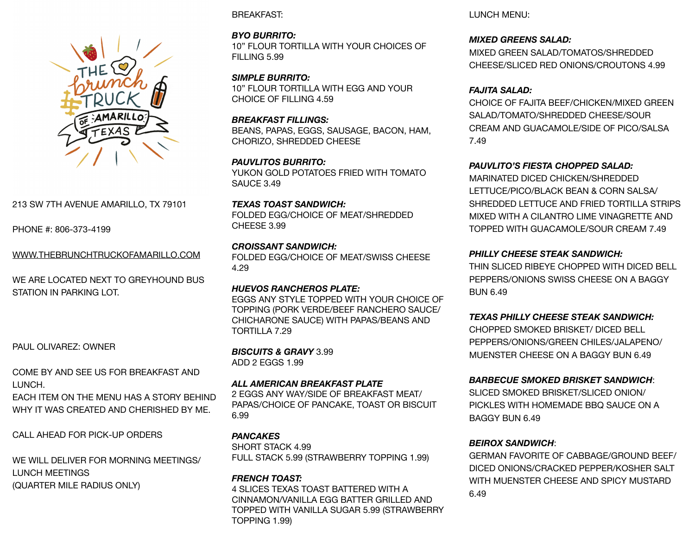

# 213 SW 7TH AVENUE AMARILLO, TX 79101

PHONE #: 806-373-4199

WWW.THEBRUNCHTRUCKOFAMARILLO.COM

WE ARE LOCATED NEXT TO GREYHOUND BUS STATION IN PARKING LOT.

PAUL OLIVAREZ: OWNER

COME BY AND SEE US FOR BREAKFAST AND LUNCH. EACH ITEM ON THE MENU HAS A STORY BEHIND

WHY IT WAS CREATED AND CHERISHED BY ME.

CALL AHEAD FOR PICK-UP ORDERS

WE WILL DELIVER FOR MORNING MEETINGS/ LUNCH MEETINGS (QUARTER MILE RADIUS ONLY)

BREAKFAST:

*BYO BURRITO:*  10" FLOUR TORTILLA WITH YOUR CHOICES OF FILLING 5.99

*SIMPLE BURRITO:*  10" FLOUR TORTILLA WITH EGG AND YOUR CHOICE OF FILLING 4.59

*BREAKFAST FILLINGS:* BEANS, PAPAS, EGGS, SAUSAGE, BACON, HAM, CHORIZO, SHREDDED CHEESE

*PAUVLITOS BURRITO:*  YUKON GOLD POTATOES FRIED WITH TOMATO SAUCE 3.49

*TEXAS TOAST SANDWICH:*  FOLDED EGG/CHOICE OF MEAT/SHREDDED CHEESE 3.99

*CROISSANT SANDWICH:*  FOLDED EGG/CHOICE OF MEAT/SWISS CHEESE 4.29

*HUEVOS RANCHEROS PLATE:*  EGGS ANY STYLE TOPPED WITH YOUR CHOICE OF TOPPING (PORK VERDE/BEEF RANCHERO SAUCE/ CHICHARONE SAUCE) WITH PAPAS/BEANS AND TORTILLA 7.29

*BISCUITS & GRAVY* 3.99 ADD 2 EGGS 1.99

*ALL AMERICAN BREAKFAST PLATE*  2 EGGS ANY WAY/SIDE OF BREAKFAST MEAT/ PAPAS/CHOICE OF PANCAKE, TOAST OR BISCUIT 6.99

*PANCAKES*  SHORT STACK 4.99 FULL STACK 5.99 (STRAWBERRY TOPPING 1.99)

## *FRENCH TOAST:*  4 SLICES TEXAS TOAST BATTERED WITH A CINNAMON/VANILLA EGG BATTER GRILLED AND TOPPED WITH VANILLA SUGAR 5.99 (STRAWBERRY TOPPING 1.99)

LUNCH MENU:

*MIXED GREENS SALAD:* 

MIXED GREEN SALAD/TOMATOS/SHREDDED CHEESE/SLICED RED ONIONS/CROUTONS 4.99

*FAJITA SALAD:* 

CHOICE OF FAJITA BEEF/CHICKEN/MIXED GREEN SALAD/TOMATO/SHREDDED CHEESE/SOUR CREAM AND GUACAMOLE/SIDE OF PICO/SALSA 7.49

*PAUVLITO'S FIESTA CHOPPED SALAD:* 

MARINATED DICED CHICKEN/SHREDDED LETTUCE/PICO/BLACK BEAN & CORN SALSA/ SHREDDED LETTUCE AND FRIED TORTILLA STRIPS MIXED WITH A CILANTRO LIME VINAGRETTE AND TOPPED WITH GUACAMOLE/SOUR CREAM 7.49

# *PHILLY CHEESE STEAK SANDWICH:*

THIN SLICED RIBEYE CHOPPED WITH DICED BELL PEPPERS/ONIONS SWISS CHEESE ON A BAGGY BUN 6.49

*TEXAS PHILLY CHEESE STEAK SANDWICH:* 

CHOPPED SMOKED BRISKET/ DICED BELL PEPPERS/ONIONS/GREEN CHILES/JALAPENO/ MUENSTER CHEESE ON A BAGGY BUN 6.49

*BARBECUE SMOKED BRISKET SANDWICH*:

SLICED SMOKED BRISKET/SLICED ONION/ PICKLES WITH HOMEMADE BBQ SAUCE ON A BAGGY BUN 6.49

# *BEIROX SANDWICH*:

GERMAN FAVORITE OF CABBAGE/GROUND BEEF/ DICED ONIONS/CRACKED PEPPER/KOSHER SALT WITH MUENSTER CHEESE AND SPICY MUSTARD 6.49